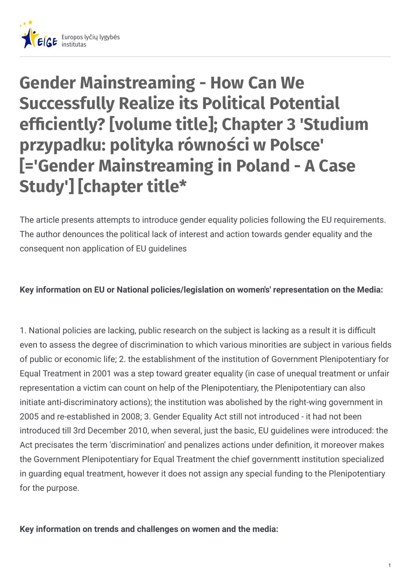

# **Gender Mainstreaming - How Can We Successfully Realize its Political Potential efficiently?** [volume title]; Chapter 3 'Studium **przypadku: polityka równości w Polsce' [='Gender Mainstreaming in Poland - A Case Study'] [chapter title\***

The article presents attempts to introduce gender equality policies following the EU requirements. The author denounces the political lack of interest and action towards gender equality and the consequent non application of EU guidelines

#### **Key information on EU or National policies/legislation on women's' representation on the Media:**

1. National policies are lacking, public research on the subject is lacking as a result it is difficult even to assess the degree of discrimination to which various minorities are subject in various fields of public or economic life; 2. the establishment of the institution of Government Plenipotentiary for Equal Treatment in 2001 was a step toward greater equality (in case of unequal treatment or unfair representation a victim can count on help of the Plenipotentiary, the Plenipotentiary can also initiate anti-discriminatory actions); the institution was abolished by the right-wing government in 2005 and re-established in 2008; 3. Gender Equality Act still not introduced - it had not been introduced till 3rd December 2010, when several, just the basic, EU guidelines were introduced: the Act precisates the term 'discrimination' and penalizes actions under definition, it moreover makes the Government Plenipotentiary for Equal Treatment the chief governmentt institution specialized in guarding equal treatment, however it does not assign any special funding to the Plenipotentiary for the purpose.

**Key information on trends and challenges on women and the media:**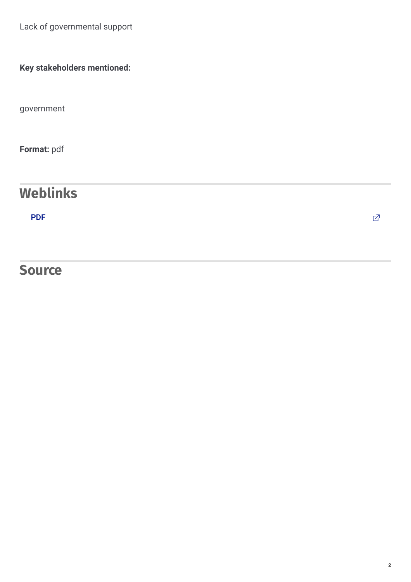Lack of governmental support

**Key stakeholders mentioned:**

government

**Format:** pdf

## **Weblinks**

[PDF](http://www.pl.boell.org/downloads/Gender_Mainstreaming_EN.pdf) the contract of the contract of the contract of the contract of the contract of  $\mathbb Z$ 

### **Source**